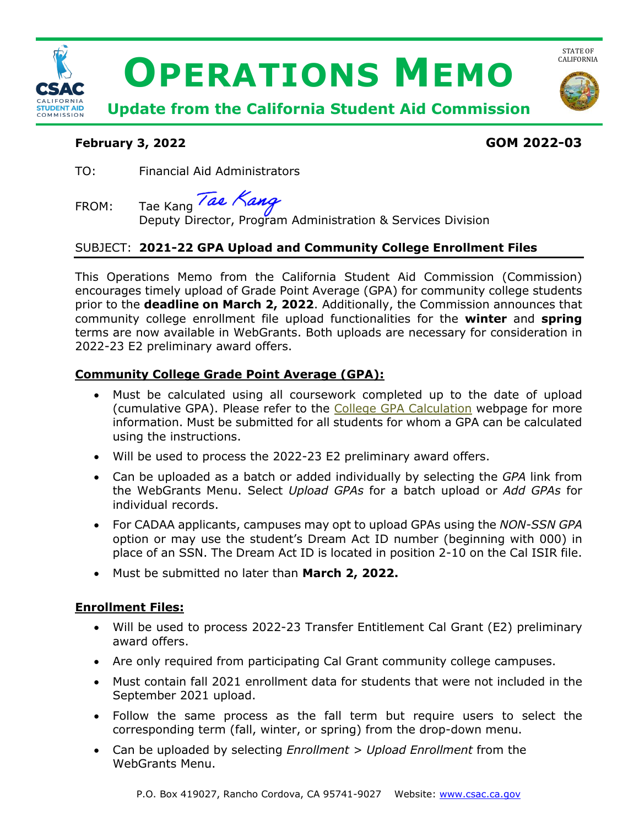

## **February 3, 2022 GOM 2022-03**

TO: Financial Aid Administrators

FROM: Tae Kang  $\sqrt{\frac{dN}{dN}}$  Nanch Administration & Services Division

# SUBJECT: **2021-22 GPA Upload and Community College Enrollment Files**

 encourages timely upload of Grade Point Average (GPA) for community college students community college enrollment file upload functionalities for the **winter** and **spring**  This Operations Memo from the California Student Aid Commission (Commission) prior to the **deadline on March 2, 2022**. Additionally, the Commission announces that terms are now available in WebGrants. Both uploads are necessary for consideration in 2022-23 E2 preliminary award offers.

# **Community College Grade Point Average (GPA):**

- information. Must be submitted for all students for whom a GPA can be calculated • Must be calculated using all coursework completed up to the date of upload (cumulative GPA). Please refer to the [College GPA Calculation](https://www.csac.ca.gov/post/college-gpa-calculation) webpage for more using the instructions.
- Will be used to process the 2022-23 E2 preliminary award offers.
- • Can be uploaded as a batch or added individually by selecting the *GPA* link from the WebGrants Menu. Select *Upload GPAs* for a batch upload or *Add GPAs* for individual records.
- place of an SSN. The Dream Act ID is located in position 2-10 on the Cal ISIR file. • For CADAA applicants, campuses may opt to upload GPAs using the *NON-SSN GPA*  option or may use the student's Dream Act ID number (beginning with 000) in
- Must be submitted no later than **March 2, 2022.**

## **Enrollment Files:**

- • Will be used to process 2022-23 Transfer Entitlement Cal Grant (E2) preliminary award offers.
- Are only required from participating Cal Grant community college campuses.
- September 2021 upload. • Must contain fall 2021 enrollment data for students that were not included in the
- • Follow the same process as the fall term but require users to select the corresponding term (fall, winter, or spring) from the drop-down menu.
- Can be uploaded by selecting *Enrollment > Upload Enrollment* from the WebGrants Menu.